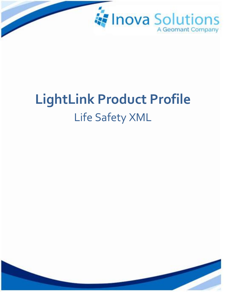

# **LightLink Product Profile** Life Safety XML

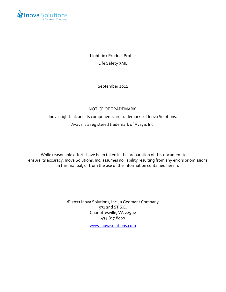

LightLink Product Profile Life Safety XML

September 2012

#### NOTICE OF TRADEMARK:

Inova LightLink and its components are trademarks of Inova Solutions.

Avaya is a registered trademark of Avaya, Inc.

While reasonable efforts have been taken in the preparation of this document to ensure its accuracy, Inova Solutions, Inc. assumes no liability resulting from any errors or omissions in this manual, or from the use of the information contained herein.

> © 2021 Inova Solutions, Inc., a Geomant Company 971 2nd ST S.E. Charlottesville, VA 22902 434.817.8000

[www.inovasolutions.com](http://www.inovasolutions.com/)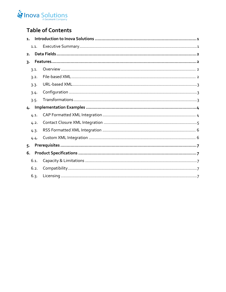## Inova Solutions

## **Table of Contents**

| 1. |      |  |
|----|------|--|
|    | 1.1. |  |
| 2. |      |  |
| 3. |      |  |
|    | 3.1. |  |
|    | 3.2. |  |
|    | 3.3. |  |
|    | 3.4. |  |
|    | 3.5. |  |
| 4. |      |  |
|    | 4.1. |  |
|    | 4.2. |  |
|    | 4.3. |  |
|    | 4.4. |  |
| 5. |      |  |
| 6. |      |  |
|    | 6.1. |  |
|    | 6.2. |  |
|    | 6.3. |  |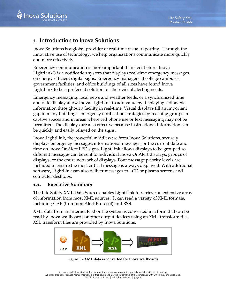## <span id="page-3-0"></span>**1. Introduction to Inova Solutions**

Inova Solutions is a global provider of real-time visual reporting. Through the innovative use of technology, we help organizations communicate more quickly and more effectively.

Emergency communication is more important than ever before. [Inova](http://www.inovasolutions.com/call-center-reporting/products/call-center-software.html)  [LightLink®](http://www.inovasolutions.com/call-center-reporting/products/call-center-software.html) is a notification system that displays real-time emergency messages on energy-efficient digital signs. Emergency managers at college campuses, government facilities, and office buildings of all sizes have found [Inova](http://www.inovasolutions.com/call-center-reporting/products/call-center-software.html)  [LightLink](http://www.inovasolutions.com/call-center-reporting/products/call-center-software.html) to be a preferred solution for their visual alerting needs.

Emergency messaging, local news and weather feeds, or a synchronized time and date display allow [Inova LightLink](http://www.inovasolutions.com/call-center-reporting/products/call-center-software.html) to add value by displaying actionable information throughout a facility in real-time. Visual displays fill an important gap in many buildings' emergency notification strategies by reaching groups in captive spaces and in areas where cell phone use or text messaging may not be permitted. The displays are also effective because instructional information can be quickly and easily relayed on the signs.

[Inova LightLink,](http://www.inovasolutions.com/call-center-reporting/products/call-center-software.html) the powerful middleware from Inova Solutions, securely displays emergency messages, informational messages, or the current date and time on Inova OnAlert LED signs. LightLink allows displays to be grouped so different messages can be sent to individual Inova OnAlert displays, groups of displays, or the entire network of displays. Four message priority levels are included to ensure the most critical message is always displayed. With additional software, LightLink can also deliver messages to LCD or plasma screens and computer desktops.

#### <span id="page-3-1"></span>**1.1. Executive Summary**

The Life Safety XML Data Source enables LightLink to retrieve an extensive array of information from most XML sources. It can read a variety of XML formats, including CAP (Common Alert Protocol) and RSS.

XML data from an internet feed or file system is converted in a form that can be read by Inova wallboards or other output devices using an XML transform file. XSL transform files are provided by Inova Solutions.



**Figure 1 – XML data is converted for Inova wallboards**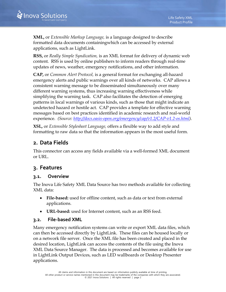**XML,** or *Extensible Markup Language,* is a language designed to describe formatted data documents containingwhich can be accessed by external applications, such as LightLink.

**RSS,** or *Really Simple Syndication,* is an XML format for delivery of dynamic web content. RSS is used by online publishers to inform readers through real-time updates of news, weather, emergency notifications, and other information.

**CAP,** or *Common Alert Protocol,* is a general format for exchanging all-hazard emergency alerts and public warnings over all kinds of networks. CAP allows a consistent warning message to be disseminated simultaneously over many different warning systems, thus increasing warning effectiveness while simplifying the warning task. CAP also facilitates the detection of emerging patterns in local warnings of various kinds, such as those that might indicate an undetected hazard or hostile act. CAP provides a template for effective warning messages based on best practices identified in academic research and real-world experience. *(Source: [http://docs.oasis-open.org/emergency/cap/v1.2/CAP-v1.2-os.html\)](http://docs.oasis-open.org/emergency/cap/v1.2/CAP-v1.2-os.html).*

**XSL,** or *Extensible Stylesheet Language,* offers a flexible way to add style and formatting to raw data so that the information appears in the most useful form.

## <span id="page-4-0"></span>**2. Data Fields**

This connector can access any fields available via a well-formed XML document or URL.

## <span id="page-4-1"></span>**3. Features**

#### <span id="page-4-2"></span>**3.1. Overview**

The Inova Life Safety XML Data Source has two methods available for collecting XML data:

- **File-based:** used for offline content, such as data or text from external applications.
- **URL-based:** used for Internet content, such as an RSS feed.

#### <span id="page-4-3"></span>**3.2. File-based XML**

Many emergency notification systems can write or export XML data files, which can then be accessed directly by LightLink. These files can be housed locally or on a network file server. Once the XML file has been created and placed in the desired location, LightLink can access the contents of the file using the Inova XML Data Source Manager. The data is processed and becomes available for use in LightLink Output Devices, such as LED wallboards or Desktop Presenter applications.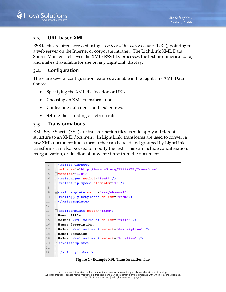#### <span id="page-5-0"></span>**3.3. URL-based XML**

RSS feeds are often accessed using a *Universal Resource Locator* (URL), pointing to a web server on the Internet or corporate intranet. The LightLink XML Data Source Manager retrieves the XML/RSS file, processes the text or numerical data, and makes it available for use on any LightLink display.

#### <span id="page-5-1"></span>**3.4. Configuration**

There are several configuration features available in the LightLink XML Data Source:

- Specifying the XML file location or URL.
- Choosing an XML transformation.
- Controlling data items and text entries.
- Setting the sampling or refresh rate.

#### <span id="page-5-2"></span>**3.5. Transformations**

XML Style Sheets (XSL) are transformation files used to apply a different structure to an XML document. In LightLink, transforms are used to convert a raw XML document into a format that can be read and grouped by LightLink; transforms can also be used to modify the text. This can include concatenation, reorganization, or deletion of unwanted text from the document.

```
\mathbb{R}<xsl:stylesheet
 \overline{4}xmlns:xsl="http://www.w3.org/1999/XSL/Transform"
 5
    \existsversion="1.0">
     <xsl:output method="text" />
 6
7
      <xsl:strip-space elements="*" />
8
9 -10
     \vert <xsl:apply-templates select="item"/>
11\frac{1}{2} </xsl:template>
12 -13 -\exists<xsl:template match="item">
14
      Name: Title
15<sub>1</sub>Value: <xsl:value-of select="title" />
16Name: Description
17 -Value: <xsl:value-of select="description" />
18
     Name: Location
19
      Value: <xsl:value-of select="location" />
20<sub>1</sub>\mid </xsl:template>
2122 --</xsl:stylesheet>
```
**Figure 2 - Example XSL Transformation File**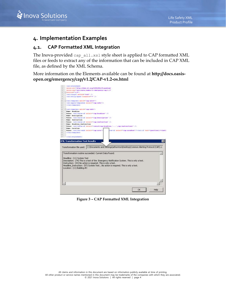

## <span id="page-6-0"></span>**4. Implementation Examples**

#### <span id="page-6-1"></span>**4.1. CAP Formatted XML Integration**

The Inova-provided cap\_all.xsl style sheet is applied to CAP formatted XML files or feeds to extract any of the information that can be included in CAP XML file, as defined by the XML Schema.

More information on the Elements available can be found at **[http://docs.oasis](http://docs.oasis-open.org/emergency/cap/v1.2/CAP-v1.2-os.html)[open.org/emergency/cap/v1.2/CAP-v1.2-os.html](http://docs.oasis-open.org/emergency/cap/v1.2/CAP-v1.2-os.html)**

|      | cxslistylesheet                                                                                                                                                                                                                                                                                              |
|------|--------------------------------------------------------------------------------------------------------------------------------------------------------------------------------------------------------------------------------------------------------------------------------------------------------------|
|      | unins:ssl="http://www.w3.org/1999/XSL/Transform"                                                                                                                                                                                                                                                             |
|      | xmlns:cap="urn:oasis:names:te:emergency:cap:1.2"                                                                                                                                                                                                                                                             |
|      | Hyersion*'1.0'>                                                                                                                                                                                                                                                                                              |
|      | <kslicutput method="text"></kslicutput>                                                                                                                                                                                                                                                                      |
|      | <kslistrip-space elements*'*'=""></kslistrip-space>                                                                                                                                                                                                                                                          |
|      |                                                                                                                                                                                                                                                                                                              |
|      | Eckslitemplate match "capialert">                                                                                                                                                                                                                                                                            |
|      | <ksliepply-templates select*'capiinfo'=""></ksliepply-templates>                                                                                                                                                                                                                                             |
|      |                                                                                                                                                                                                                                                                                                              |
|      |                                                                                                                                                                                                                                                                                                              |
|      | 14 B <ksl:template match*'cap:info'=""></ksl:template>                                                                                                                                                                                                                                                       |
|      | <b>Hame: Headline</b>                                                                                                                                                                                                                                                                                        |
|      | Value: <xsl:value-of select="cap:headline"></xsl:value-of>                                                                                                                                                                                                                                                   |
|      | <b>Mame: Description</b>                                                                                                                                                                                                                                                                                     |
|      | Walme: <xsl:value-of select*'cap:description'=""></xsl:value-of>                                                                                                                                                                                                                                             |
|      | <b>Name: Instruction</b>                                                                                                                                                                                                                                                                                     |
|      | Walue: < calivalue-of swiect*'cap:instruction' />                                                                                                                                                                                                                                                            |
|      | Hame: Meadline Instruction                                                                                                                                                                                                                                                                                   |
|      | Walme: craisvalue-of select="concat(cap:headline,'',cap:instruction)' />                                                                                                                                                                                                                                     |
|      | Hame: Location                                                                                                                                                                                                                                                                                               |
|      | Value: <xsl:for-each select="cap:area"><br/>lus-of select="cap:areaDewc"/&gt;&lt;xsl:if test="position() !=last(&lt;/td&gt;</xsl:for-each>                                                                                                                                                                   |
|      |                                                                                                                                                                                                                                                                                                              |
|      |                                                                                                                                                                                                                                                                                                              |
|      |                                                                                                                                                                                                                                                                                                              |
|      | <br><b>XML Transformation Test Results</b>                                                                                                                                                                                                                                                                   |
|      | ×<br>Transformation file used: C:\Documents and Settings\athornton\Desktop\Common Alerting Protocol (CAP).x:                                                                                                                                                                                                 |
| 27.1 | Transformation routine succeeded. Current Data Found:                                                                                                                                                                                                                                                        |
|      | Headline: (11) System Test<br>Description: (74) This is a test of the Emergency Notification System. This is only a test.<br>Instruction: (43) No action is required. This is only a test.<br>Headine_Instruction: (57) System TestNo action is required. This is only a test.<br>Location: (11) Building #3 |

**Figure 3 – CAP Formatted XML Integration**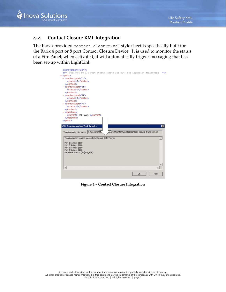

#### <span id="page-7-0"></span>**4.2. Contact Closure XML Integration**

The Inova-provided contact\_closure.xsl style sheet is specifically built for the Barix 4 port or 8 port Contact Closure Device. It is used to monitor the status of a Fire Panel; when activated, it will automatically trigger messaging that has been set-up within LightLink.

| xml version="1.0" ?                                                                      |                                                     |
|------------------------------------------------------------------------------------------|-----------------------------------------------------|
| <!-- BarioNet 50 I/O Port Status (ports 201-204) for LightLink Monitoring</th> <th></th> |                                                     |
| $-$ <ports></ports>                                                                      |                                                     |
| - <contact port="1"><br/><status>0</status></contact>                                    |                                                     |
|                                                                                          |                                                     |
| - <contact port="2"><br/><status>0</status></contact>                                    |                                                     |
|                                                                                          |                                                     |
| - <contact port="3"></contact>                                                           |                                                     |
| <status>0</status>                                                                       |                                                     |
|                                                                                          |                                                     |
| - <contact port="4"></contact>                                                           |                                                     |
| <status>0</status>                                                                       |                                                     |
|                                                                                          |                                                     |
| - <datetime></datetime>                                                                  |                                                     |
| <current>[NO_VAR}</current>                                                              |                                                     |
|                                                                                          |                                                     |
|                                                                                          |                                                     |
|                                                                                          |                                                     |
|                                                                                          |                                                     |
| <b>XML Transformation Test Results</b>                                                   | $\vert x \vert$                                     |
|                                                                                          |                                                     |
| Transformation file used: C:\Document>                                                   | ngs\athornton\Desktop\contact_closure_transform.xsl |
|                                                                                          |                                                     |
| Transformation routine succeeded. Current Data Found:                                    |                                                     |
|                                                                                          |                                                     |
| Port 1 Status: (1) 0                                                                     |                                                     |
| Port 2 Status: (1) 0<br>Port 3 Status: (1) 0                                             |                                                     |
| Port 4 Status: (1) 0                                                                     |                                                     |
| DateTime Stamp: (8) [NO_VAR}                                                             |                                                     |
|                                                                                          |                                                     |
|                                                                                          |                                                     |
|                                                                                          |                                                     |
|                                                                                          |                                                     |
|                                                                                          |                                                     |
|                                                                                          |                                                     |
|                                                                                          | <b>OK</b><br>Help                                   |

**Figure 4 – Contact Closure Integration**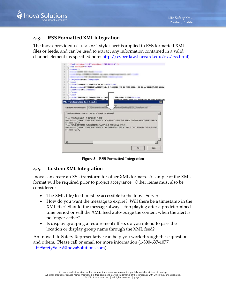

#### <span id="page-8-0"></span>**4.3. RSS Formatted XML Integration**

The Inova-provided LS  $\text{RSS}$ .xsl style sheet is applied to RSS formatted XML files or feeds, and can be used to extract any information contained in a valid channel element (as specified here: [http://cyber.law.harvard.edu/rss/rss.html\)](http://cyber.law.harvard.edu/rss/rss.html).



**Figure 5 – RSS Formatted Integration**

#### <span id="page-8-1"></span>**4.4. Custom XML Integration**

Inova can create an XSL transform for other XML formats. A sample of the XML format will be required prior to project acceptance. Other items must also be considered:

- The XML file/feed must be accessible to the Inova Server.
- How do you want the message to expire? Will there be a timestamp in the XML file? Should the message always stop playing after a predetermined time period or will the XML feed auto-purge the content when the alert is no longer active?
- Is display grouping a requirement? If so, do you intend to pass the location or display group name through the XML feed?

An Inova Life Safety Representative can help you work through these questions and others. Please call or email for more information (1-800-637-1077, [LifeSafetySales@InovaSolutions.com\)](mailto:LifeSafetySales@InovaSolutions.com).